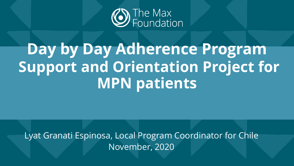

## **Day by Day Adherence Program Support and Orientation Project for MPN patients**

Lyat Granati Espinosa, Local Program Coordinator for Chile November, 2020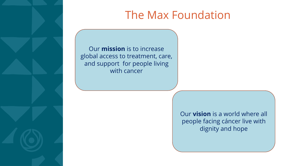

### The Max Foundation

Our **mission** is to increase global access to treatment, care, and support for people living with cancer

> Our **vision** is a world where all people facing cáncer live with dignity and hope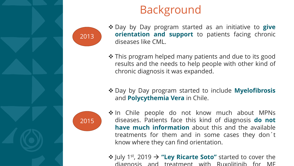

## Background

- ❖ Day by Day program started as an initiative to **give orientation and support** to patients facing chronic diseases like CML.
- ❖ This program helped many patients and due to its good results and the needs to help people with other kind of chronic diagnosis it was expanded.
- ❖ Day by Day program started to include **Myelofibrosis** and **Polycythemia Vera** in Chile.



2013

- ❖ In Chile people do not know much about MPNs diseases. Patients face this kind of diagnosis **do not have much information** about this and the available treatments for them and in some cases they don´t know where they can find orientation.
- ❖ July 1 st , 2019 → **"Ley Ricarte Soto"** started to cover the diagnosis and treatment with Ruxolitinib for MF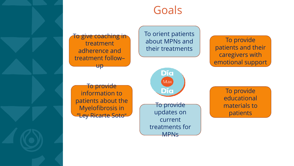

#### Goals

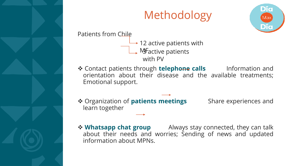

## Methodology



Patients from Chile

- $\rightarrow$  12 active patients with  $\rightarrow$  M Factive patients with PV
- ❖ Contact patients through **telephone calls** Information and orientation about their disease and the available treatments; Emotional support.
- ❖ Organization of **patients meetings** Share experiences and learn together

❖ **Whatsapp chat group** Always stay connected, they can talk about their needs and worries; Sending of news and updated information about MPNs.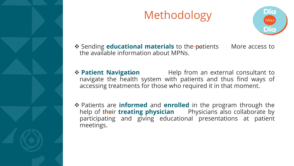

## Methodology



**❖** Sending **educational materials** to the patients More access to the available information about MPNs.

- ❖ **Patient Navigation** Help from an external consultant to navigate the health system with patients and thus find ways of accessing treatments for those who required it in that moment.
- ❖ Patients are **informed** and **enrolled** in the program through the help of their **treating physician** Physicians also collaborate by participating and giving educational presentations at patient meetings.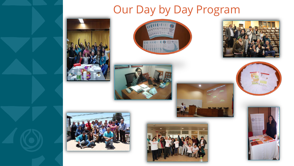## Our Day by Day Program

















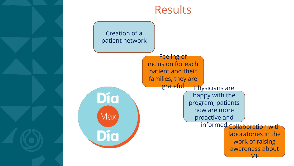

#### Results

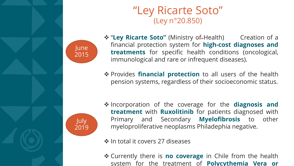

#### "Ley Ricarte Soto" (Ley n°20.850)

❖ "**Ley Ricarte Soto"** (Ministry of Health) Creation of a financial protection system for **high-cost diagnoses and treatments** for specific health conditions (oncological, immunological and rare or infrequent diseases).

❖ Provides **financial protection** to all users of the health pension systems, regardless of their socioeconomic status.



June

2015

❖ Incorporation of the coverage for the **diagnosis and treatment** with **Ruxolitinib** for patients diagnosed with Primary and Secondary **Myelofibrosis** to other myeloproliferative neoplasms Philadephia negative.

❖ In total it covers 27 diseases

❖ Currently there is **no coverage** in Chile from the health system for the treatment of **Polycythemia Vera or**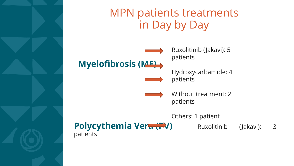

#### MPN patients treatments in Day by Day

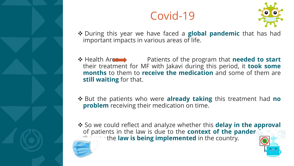

## Covid-19



- ❖ During this year we have faced a **global pandemic** that has had important impacts in various areas of life.
- ◆ Health Area → Patients of the program that **needed to start** their treatment for MF with Jakavi during this period, it **took some months** to them to **receive the medication** and some of them are **still waiting** for that.
- ❖ But the patients who were **already taking** this treatment had **no problem** receiving their medication on time.
- ❖ So we could reflect and analyze whether this **delay in the approval** of patients in the law is due to the **context of the panden** *I* the law is being implemented in the country.

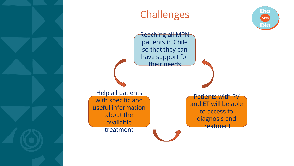

#### Challenges

Reaching all MPN patients in Chile so that they can have support for their needs

Help all patients with specific and useful information about the available treatment

Patients with PV and ET will be able to access to diagnosis and treatment